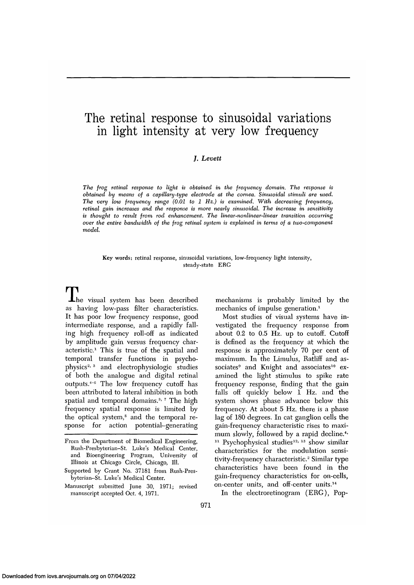# The retinal response to sinusoidal variations in light intensity at very low frequency

## *J. Levett*

*The frog retinal response to light is obtained in the frequency domain. The response is obtained by means of a capillary-type electrode at the cornea. Sinusoidal stimuli are used. The very low frequency range (0.01 to 1 Hz.) is examined. With decreasing frequency, retinal gain increases and the response is more nearly sinusoidal. The increase in sensitivity is thought to result from rod enhancement. The linear-nonlinear-linear transition occurring over the entire bandwidth of the frog retinal system is explained in terms of a two-component model.*

Key words: retinal response, sinusoidal variations, low-frequency light intensity, steady-state ERG

The visual system has been described as having low-pass filter characteristics. It has poor low frequency response, good intermediate response, and a rapidly falling high frequency roll-off as indicated by amplitude gain versus frequency characteristic.<sup>1</sup> This is true of the spatial and temporal transfer functions in psycho- $\frac{1}{2}$  physics<sup>2, 3</sup> and electrophysiologic studies of both the analogue and digital retinal outputs.<sup>4-6</sup> The low frequency cutoff has been attributed to lateral inhibition in both spatial and temporal domains.<sup>3, 7</sup> The high frequency spatial response is limited by the optical system,8 and the temporal response for action potential-generating

mechanisms is probably limited by the mechanics of impulse generation.<sup>1</sup>

Most studies of visual systems have investigated the frequency response from about 0.2 to 0.5 Hz. up to cutoff. Cutoff is defined as the frequency at which the response is approximately 70 per cent of maximum. In the Limulus, Ratliff and associates<sup>9</sup> and Knight and associates<sup>10</sup> examined the light stimulus to spike rate frequency response, finding that the gain falls off quickly below 1 Hz. and the system shows phase advance below this frequency. At about 5 Hz. there is a phase lag of 180 degrees. In cat ganglion cells the gain-frequency characteristic rises to maximum slowly, followed by a rapid decline.<sup>4</sup>  $P$ sychophysical studies<sup>12, 13</sup> show similar characteristics for the modulation sensitivity-frequency characteristic.2 Similar type characteristics have been found in the gain-frequency characteristics for on-cells, gain-riequency enancements for on-c<br>on-center units, and off-center units.<sup>14</sup>

In the electroretinogram (ERG), Pop-

From the Department of Biomedical Engineering, Rush-Presbyterian-St. Luke's Medical Center, and Bioengineering Program, University of Illinois at Chicago Circle, Chicago, 111.

Supported by Grant No. 37181 from Rush-Presbyterian-St. Luke's Medical Center.

Manuscript submitted June 30, 1971; revised manuscript accepted Oct. 4, 1971.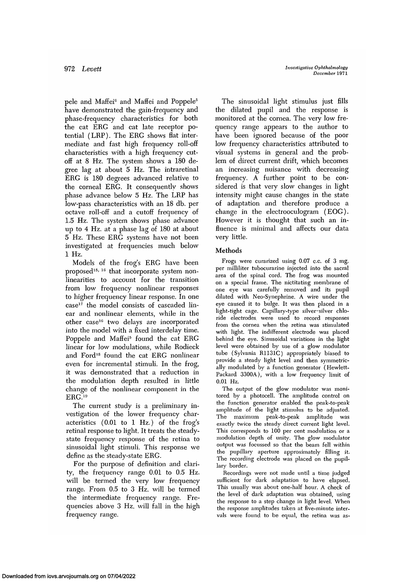pele and Maffei<sup>6</sup> and Maffei and Poppele<sup>5</sup> have demonstrated the gain-frequency and phase-frequency characteristics for both the cat ERG and cat late receptor potential (LRP). The ERG shows flat intermediate and fast high frequency roll-off characteristics with a high frequency cutoff at 8 Hz. The system shows a 180 degree lag at about 5 Hz. The intraretinal ERG is 180 degrees advanced relative to the corneal ERG. It consequently shows phase advance below 5 Hz. The LRP has low-pass characteristics with an 18 db. per octave roll-off and a cutoff frequency of 1.5 Hz. The system shows phase advance up to 4 Hz. at a phase lag of 180 at about 5 Hz. These ERG systems have not been investigated at frequencies much below 1 Hz.

Models of the frog's ERG have been proposed<sup>15, 16</sup> that incorporate system nonlinearities to account for the transition from low frequency nonlinear responses to higher frequency linear response. In one case<sup>17</sup> the model consists of cascaded linear and nonlinear elements, while in the other case<sup>16</sup> two delays are incorporated into the model with a fixed interdelay time. Poppele and Maffei<sup>5</sup> found the cat ERG linear for low modulations, while Rodieck and Ford<sup>18</sup> found the cat ERG nonlinear even for incremental stimuli. In the frog, it was demonstrated that a reduction in the modulation depth resulted in little change of the nonlinear component in the ERG.19

The current study is a preliminary investigation of the lower frequency characteristics (0.01 to 1 Hz.) of the frog's retinal response to light. It treats the steadystate frequency response of the retina to sinusoidal light stimuli. This response we define as the steady-state ERG.

For the purpose of definition and clarity, the frequency range 0.01 to 0.5 Hz. will be termed the very low frequency range. From 0.5 to 3 Hz. will be termed the intermediate frequency range. Frequencies above 3 Hz. will fall in the high frequency range.

The sinusoidal light stimulus just fills the dilated pupil and the response is monitored at the comea. The very low frequency range appears to the author to have been ignored because of the poor low frequency characteristics attributed to visual systems in general and the problem of direct current drift, which becomes an increasing nuisance with decreasing frequency. A further point to be considered is that very slow changes in light intensity might cause changes in the state of adaptation and therefore produce a change in the electrooculogram (EOG). However it is thought that such an influence is minimal and affects our data very little.

# Methods

Frogs were curarized using 0.07 c.c. of 3 mg. per milliliter tubocurarine injected into the sacral area of the spinal cord. The frog was mounted on a special frame. The nictitating membrane of one eye was carefully removed and its pupil dilated with Neo-Synephrine. A wire under the eye caused it to bulge. It was then placed in a light-tight cage. Capillary-type silver-silver chloride electrodes, were used to record responses from the cornea when the retina was stimulated with light. The indifferent electrode was placed behind the eye. Sinusoidal variations in the light level were obtained by use of a glow modulator tube (Sylvania R1131C) appropriately biased to provide a steady light level and then symmetrically modulated by a function generator (Hewlett-Packard 3300A), with a low frequency limit of 0.01 Hz.

The output of the glow modulator was monitored by a photocell. The amplitude control on the function generator enabled the peak-to-peak amplitude of the light stimulus to be adjusted. The maximum peak-to-peak amplitude was exactly twice the steady direct current light level. This corresponds to 100 per cent modulation or a modulation depth of unity. The glow modulator output was focussed so that the beam fell within the pupillary aperture approximately filling it. The recording electrode was placed on the pupillary border.

Recordings were not made until a time judged sufficient for dark adaptation to have elapsed. This usually was about one-half hour. A check of the level of dark adaptation was obtained, using the response to a step change in light level. When the response amplitudes taken at five-minute intervals were found to be equal, the retina was as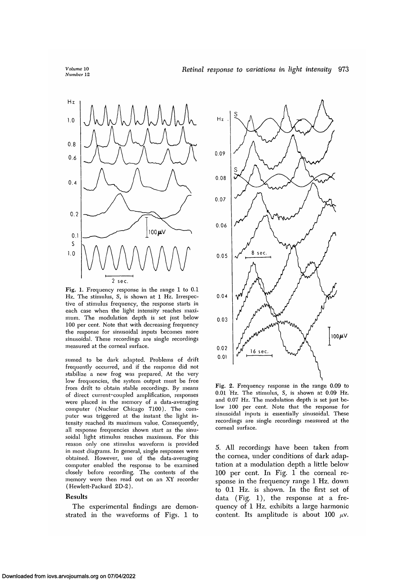*Volume* 10 *Number* 12



Fig. 1. Frequency response in the range 1 to 0.1 Hz. The stimulus, S, is shown at 1 Hz. Irrespective of stimulus frequency, the response starts in each case when the light intensity reaches maximum. The modulation depth is set just below 100 per cent. Note that with decreasing frequency the response for sinusoidal inputs becomes more sinusoidal. These recordings are single recordings measured at the corneal surface.

sumed to be dark adapted. Problems of drift frequently occurred, and if the response did not stabilize a new frog was prepared. At the very low frequencies, the system output must be free from drift to obtain stable recordings. By means of direct current-coupled amplification, responses were placed in the memory of a data-averaging computer (Nuclear Chicago 7100). The computer was triggered at the instant the light intensity reached its maximum value. Consequently, all response frequencies shown start as the sinusoidal light stimulus reaches maximum. For this reason only one stimulus waveform is provided in most diagrams. In general, single responses were obtained. However, use of the data-averaging computer enabled the response to be examined closely before recording. The contents of the memory were then read out on an XY recorder (Hewlett-Packard 2D-2).

#### Results

The experimental findings are demonstrated in the waveforms of Figs. 1 to



Fig. 2. Frequency response in the range 0.09 to 0.01 Hz. The stimulus, S, is shown at 0.09 Hz. and 0.07 Hz. The modulation depth is set just below 100 per cent. Note that the response for sinusoidal inputs is essentially sinusoidal. These recordings are single recordings measured at the corneal surface.

5. All recordings have been taken from the cornea, under conditions of dark adaptation at a modulation depth a little below 100 per cent. In Fig. 1 the corneal response in the frequency range 1 Hz. down to 0.1 Hz. is shown. In the first set of data (Fig. 1), the response at a frequency of 1 Hz. exhibits a large harmonic content. Its amplitude is about 100  $\mu$ v.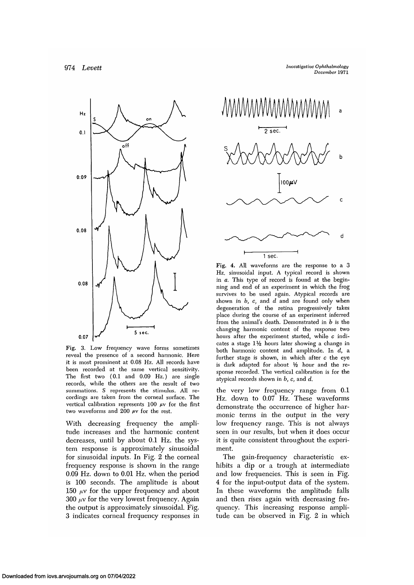

Fig. 3. Low frequency wave forms sometimes reveal the presence of a second harmonic. Here it is most prominent at 0.08 Hz. All records have been recorded at the same vertical sensitivity. The first two (0.1 and 0.09 Hz.) are single records, while the others are the result of two summations. S represents the stimulus. All recordings are taken from the corneal surface. The vertical calibration represents  $100 \mu v$  for the first two waveforms and 200  $\mu$ v for the rest.

With decreasing frequency the amplitude increases and the harmonic content decreases, until by about 0.1 Hz. the system response is approximately sinusoidal for sinusoidal inputs. In Fig. 2 the corneal frequency response is shown in the range 0.09 Hz. down to 0.01 Hz. when the period is 100 seconds. The amplitude is about 150  $\mu$ v for the upper frequency and about  $300 \mu v$  for the very lowest frequency. Again the output is approximately sinusoidal. Fig. 3 indicates corneal frequency responses in



Fig. 4. All waveforms are the response to a 3 Hz. sinusoidal input. A typical record is shown in *a.* This type of record is found at the beginning and end of an experiment in which the frog survives to be used again. Atypical records are shown in *b, c,* and *d* and are found only when degeneration of the retina progressively takes place during the course of an experiment inferred from the animal's death. Demonstrated in *b* is the changing harmonic content of the response two hours after the experiment started, while  $c$  indicates a stage 1<sup>1</sup>/<sub>2</sub> hours later showing a change in both harmonic content and amplitude. In *d,* a further stage is shown, in which after *c* the eye is dark adapted for about *V2* hour and the response recorded. The vertical calibration is for the atypical records shown in *b, c,* and *d.*

the very low frequency range from. 0.1 Hz. down to 0.07 Hz. These waveforms demonstrate the occurrence of higher harmonic terms in the output in the very low frequency range. This is not always seen in our results, but when it does occur it is quite consistent throughout the experiment.

The gain-frequency characteristic exhibits a dip or a trough at intermediate and low frequencies. This is seen in Fig. 4 for the input-output data of the system. In these waveforms the amplitude falls and then rises again with decreasing frequency. This increasing response amplitude can be observed in Fig. 2 in which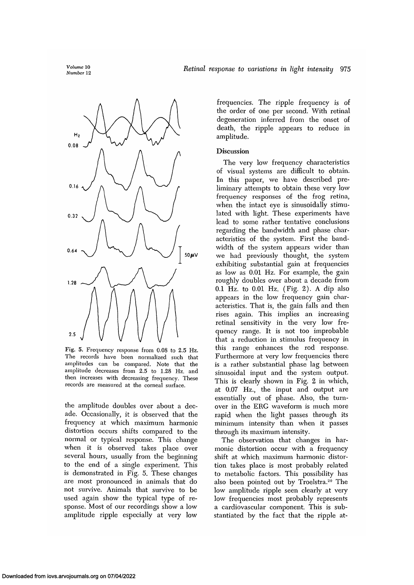*Volume* 10



Fig. 5. Frequency response from 0.08 to 2.5 Hz. The records have been normalized such that amplitudes can be compared. Note that the amplitude decreases from 2.5 to 1.28 Hz. and then increases with decreasing frequency. These records are measured at the corneal surface.

the amplitude doubles over about a decade. Occasionally, it is observed that the frequency at which maximum harmonic distortion occurs shifts compared to the normal or typical response. This change when it is observed takes place over several hours, usually from the beginning to the end of a single experiment. This is demonstrated in Fig. 5. These changes are most pronounced in animals that do not survive. Animals that survive to be used again show the typical type of response. Most of our recordings show a low amplitude ripple especially at very low

frequencies. The ripple frequency is of the order of one per second. With retinal degeneration inferred from the onset of death, the ripple appears to reduce in amplitude.

# Discussion

The very low frequency characteristics of visual systems are difficult to obtain. In this paper, we have described preliminary attempts to obtain these very low frequency responses of the frog retina, when the intact eye is sinusoidally stimulated with light. These experiments have lead to some rather tentative conclusions regarding the bandwidth and phase characteristics of the system. First the bandwidth of the system appears wider than we had previously thought, the system exhibiting substantial gain at frequencies as low as 0.01 Hz. For example, the gain roughly doubles over about a decade from 0.1 Hz. to 0.01 Hz. (Fig. 2). A dip also appears in the low frequency gain characteristics. That is, the gain falls and then rises again. This implies an increasing retinal sensitivity in the very low frequency range. It is not too improbable that a reduction in stimulus frequency in this range enhances the rod response. Furthermore at very low frequencies there is a rather substantial phase lag between sinusoidal input and the system output. This is clearly shown in Fig. 2 in which, at 0.07 Hz., the input and output are essentially out of phase. Also, the turnover in the ERG waveform is much more rapid when the light passes through its minimum intensity than when it passes through its maximum intensity.

The observation that changes in harmonic distortion occur with a frequency shift at which maximum harmonic distortion takes place is most probably related to metabolic factors. This possibility has also been pointed out by Troelstra.<sup>20</sup> The low amplitude ripple seen clearly at very low frequencies most probably represents a cardiovascular component. This is substantiated by the fact that the ripple at-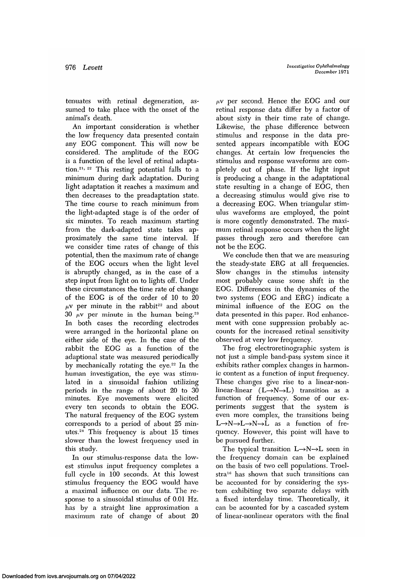tenuates with retinal degeneration, assumed to take place with the onset of the animal's death.

An important consideration is whether the low frequency data presented contain any EOG component. This will now be considered. The amplitude of the EOG is a function of the level of retinal adaptation.<sup>21, 22</sup> This resting potential falls to a minimum during dark adaptation. During light adaptation it reaches a maximum and then decreases to the preadaptation state. The time course to reach minimum from the light-adapted stage is of the order of six minutes. To reach maximum starting from the dark-adapted state takes approximately the same time interval. If we consider time rates of change of this potential, then the maximum rate of change of the EOG occurs when the light level is abruptly changed, as in the case of a step input from light on to lights off. Under these circumstances the time rate of change of the EOG is of the order of 10 to 20  $\mu$  are not in the rabbit<sup>22</sup> and about 30  $\mu$ v per minute in the human being.<sup>23</sup> In both cases the recording electrodes were arranged in the horizontal plane on either side of the eye. In the case of the rabbit the EOG as a function of the adaptional state was measured periodically by mechanically rotating the eye.22 In the human investigation, the eye was stimulated in a sinusoidal fashion utilizing periods in the range of about 20 to 30 minutes. Eye movements were elicited every ten seconds to obtain the EOG. The natural frequency of the EOG system corresponds to a period of about 25 mincorresponds to a period of about 20 mm-<br>utes.<sup>24</sup> This frequency is about 15 times slower than the lowest frequency used in this study.

In our stimulus-response data the lowest stimulus input frequency completes a full cycle in 100 seconds. At this lowest stimulus frequency the EOG would have a maximal influence on our data. The response to a sinusoidal stimulus of 0.01 Hz. has by a straight line approximation a maximum rate of change of about 20

 $\mu$ v per second. Hence the EOG and our retinal response data differ by a factor of about sixty in their time rate of change. Likewise, the phase difference between stimulus and response in the data presented appears incompatible with EOG changes. At certain low frequencies the stimulus and response waveforms are completely out of phase. If the light input is producing a change in the adaptational state resulting in a change of EOG, then a decreasing stimulus would give rise to a decreasing EOG. When triangular stimulus waveforms are employed, the point is more cogently demonstrated. The maximum retinal response occurs when the light passes through zero and therefore can not be the EOG.

We conclude then that we are measuring the steady-state ERG at all frequencies. Slow changes in the stimulus intensity most probably cause some shift in the EOG. Differences in the dynamics of the two systems (EOG and ERG) indicate a minimal influence of the EOG on the data presented in this paper. Rod enhancement with cone suppression probably accounts for the increased retinal sensitivity observed at very low frequency.

The frog electroretinographic system is not just a simple band-pass system since it exhibits rather complex changes in harmonic content as a function of input frequency. These changes give rise to a linear-nonlinear-linear  $(L\rightarrow N\rightarrow L)$  transition as a function of frequency. Some of our experiments suggest that the system is even more complex, the transitions being  $L \rightarrow N \rightarrow L \rightarrow N \rightarrow L$  as a function of frequency. However, this point will have to be pursued further.

The typical transition  $L \rightarrow N \rightarrow L$  seen in the frequency domain can be explained on the basis of two cell populations. Troelstra<sup>16</sup> has shown that such transitions can be accounted for by considering the system exhibiting two separate delays with a fixed interdelay time. Theoretically, it can be acounted for by a cascaded system of linear-nonlinear operators with the final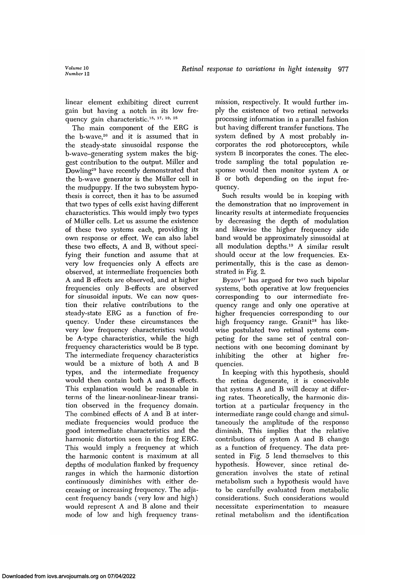linear element exhibiting direct current gain but having a notch in its low frequency gain characteristic.<sup>15, 17, 19, 25</sup>

The main component of the ERG is the b-wave, $26$  and it is assumed that in the steady-state sinusoidal response the b-wave-generating system makes the biggest contribution to the output. Miller and Dowling29 have recently demonstrated that the b-wave generator is the Miiller cell in the mudpuppy. If the two subsystem hypothesis is correct, then it has to be assumed that two types of cells exist having different characteristics. This would imply two types of Miiller cells. Let us assume the existence of these two systems each, providing its own response or effect. We can also label these two effects, A and B, without specifying their function and assume that at very low frequencies only A effects are observed, at intermediate frequencies both A and B effects are observed, and at higher frequencies only B-effects are observed for sinusoidal inputs. We can now question their relative contributions to the steady-state ERG as a function of frequency. Under these circumstances the very low frequency characteristics would be A-type characteristics, while the high frequency characteristics would be B type. The intermediate frequency characteristics would be a mixture of both A and B types, and the intermediate frequency would then contain both A and B effects. This explanation would be reasonable in terms of the linear-nonlinear-linear transition observed in the frequency domain. The combined effects of A and B at intermediate frequencies would produce the good intermediate characteristics and the harmonic distortion seen in the frog ERG. This would imply a frequency at which the harmonic content is maximum at all depths of modulation flanked by frequency ranges in which the harmonic distortion continuously diminishes with either decreasing or increasing frequency. The adjacent frequency bands (very low and high) would represent A and B alone and their mode of low and high frequency trans-

mission, respectively. It would further imply the existence of two retinal networks processing information in a parallel fashion but having different transfer functions. The system defined by A most probably incorporates the rod photoreceptors, while system B incorporates the cones. The electrode sampling the total population response would then monitor system A or B or both depending on the input frequency.

Such results would be in keeping with the demonstration that no improvement in linearity results at intermediate frequencies by decreasing the depth of modulation and likewise the higher frequency side band would be approximately sinusoidal at all modulation depths.19 A similar result should occur at the low frequencies. Experimentally, this is the case as demonstrated in Fig. 2.

Byzov<sup>27</sup> has argued for two such bipolar systems, both operative at low frequencies corresponding to our intermediate frequency range and only one operative at higher frequencies corresponding to our high frequency range. Granit<sup>28</sup> has likewise postulated two retinal systems competing for the same set of central connections with one becoming dominant by inhibiting the other at higher frequencies.

In keeping with this hypothesis, should the retina degenerate, it is conceivable that systems A and B will decay at differing rates. Theoretically, the harmonic distortion at a particular frequency in the intermediate range could change and simultaneously the amplitude of the response diminish. This implies that the relative contributions of system A and B change as a function of frequency. The data presented in Fig. 5 lend themselves to this hypothesis. However, since retinal degeneration involves the state of retinal metabolism such a hypothesis would have to be carefully evaluated from metabolic considerations. Such considerations would necessitate experimentation to measure retinal metabolism and the identification